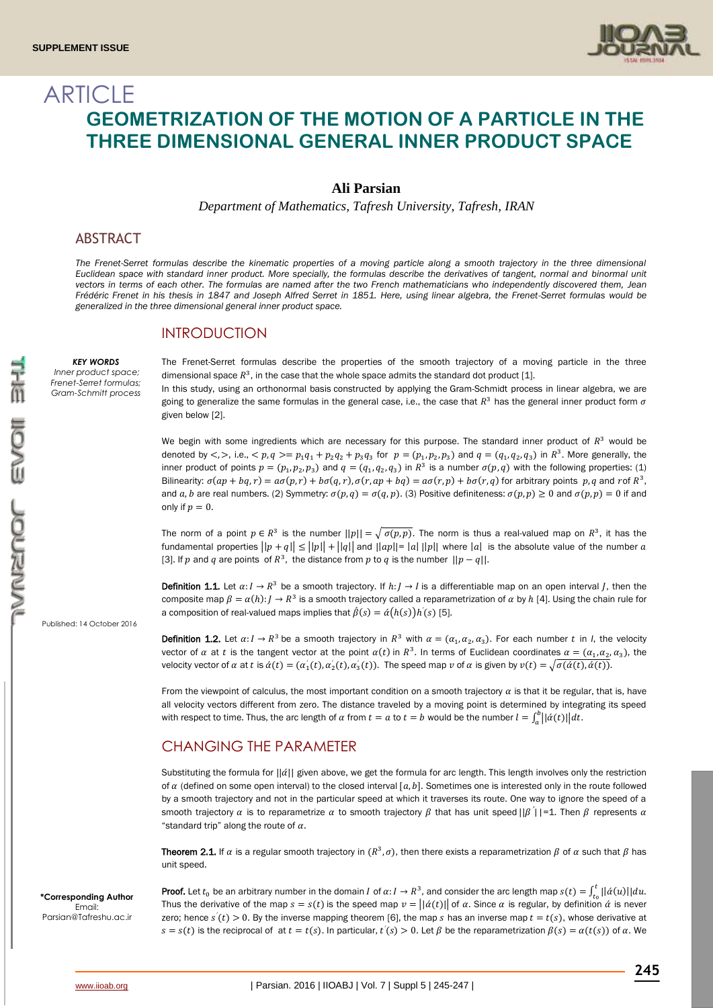

# **ARTICLE GEOMETRIZATION OF THE MOTION OF A PARTICLE IN THE THREE DIMENSIONAL GENERAL INNER PRODUCT SPACE**

#### **Ali Parsian**

*Department of Mathematics, Tafresh University, Tafresh, IRAN*

#### ABSTRACT

*KEY WORDS Inner product space; Frenet-Serret formulas; Gram-Schmitt process*

*The Frenet-Serret formulas describe the kinematic properties of a moving particle along a smooth trajectory in the three dimensional Euclidean space with standard inner product. More specially, the formulas describe the derivatives of tangent, normal and binormal unit vectors in terms of each other. The formulas are named after the two French mathematicians who independently discovered them, Jean Frédéric Frenet in his thesis in 1847 and Joseph Alfred Serret in 1851. Here, using linear algebra, the Frenet-Serret formulas would be generalized in the three dimensional general inner product space.*

#### INTRODUCTION

The Frenet-Serret formulas describe the properties of the smooth trajectory of a moving particle in the three dimensional space  $R^3$ , in the case that the whole space admits the standard dot product [1].

In this study, using an orthonorma[l basis](https://en.wikipedia.org/wiki/Orthonormal_basis) constructed by applying the [Gram-Schmidt process](https://en.wikipedia.org/wiki/Gram-Schmidt_process) in linear algebra, we are going to generalize the same formulas in the general case, i.e., the case that  $R^3$  has the general inner product form  $\sigma$ given below [2].

We begin with some ingredients which are necessary for this purpose. The standard inner product of  $R<sup>3</sup>$  would be denoted by  $\langle \rangle$ , i.e.,  $\langle p, q \rangle = p_1 q_1 + p_2 q_2 + p_3 q_3$  for  $p = (p_1, p_2, p_3)$  and  $q = (q_1, q_2, q_3)$  in  $R^3$ . More generally, the inner product of points  $p = (p_1, p_2, p_3)$  and  $q = (q_1, q_2, q_3)$  in  $R^3$  is a number  $\sigma(p, q)$  with the following properties: (1) Bilinearity:  $\sigma(ap + bq, r) = a\sigma(p, r) + b\sigma(q, r), \sigma(r, ap + bq) = a\sigma(r, p) + b\sigma(r, q)$  for arbitrary points  $p, q$  and rof  $R^3$ , and a, b are real numbers. (2) Symmetry:  $\sigma(p, q) = \sigma(q, p)$ . (3) Positive definiteness:  $\sigma(p, p) \ge 0$  and  $\sigma(p, p) = 0$  if and only if  $p = 0$ .

The norm of a point  $p \in R^3$  is the number  $||p|| = \sqrt{\sigma(p,p)}$ . The norm is thus a real-valued map on  $R^3$ , it has the fundamental properties  $||p + q|| \le ||p|| + ||q||$  and  $||ap|| = |a|| ||p||$  where  $|a|$  is the absolute value of the number a [3]. If p and q are points of  $R^3$ , the distance from p to q is the number  $||p - q||$ .

**Definition 1.1.** Let  $\alpha: I \to R^3$  be a smooth trajectory. If  $h: J \to I$  is a differentiable map on an open interval *J*, then the composite map  $\beta = \alpha(h) : J \to R^3$  is a smooth trajectory called a reparametrization of  $\alpha$  by  $h$  [4]. Using the chain rule for a composition of real-valued maps implies that  $\acute{B}(s) = \acute{\alpha}(h(s))h^{'}(s)$  [5]. *′*

**Definition 1.2.** Let  $\alpha: I \to R^3$  be a smooth trajectory in  $R^3$  with  $\alpha = (\alpha_1, \alpha_2, \alpha_3)$ . For each number t in *I*, the velocity vector of  $\alpha$  at t is the tangent vector at the point  $\alpha(t)$  in  $R^3$ . In terms of Euclidean coordinates  $\alpha = (\alpha_1, \alpha_2, \alpha_3)$ , the velocity vector of  $\alpha$  at  $t$  is  $\dot{\alpha}(t) = (\alpha'_1(t), \alpha'_2(t), \alpha'_3(t))$ . The speed map  $v$  of  $\alpha$  is given by  $v(t) = \sqrt{\sigma(\dot{\alpha}(t), \dot{\alpha}(t))}$ . *′ ′ ′*

From the viewpoint of calculus, the most important condition on a smooth trajectory  $\alpha$  is that it be regular, that is, have all velocity vectors different from zero. The distance traveled by a moving point is determined by integrating its speed with respect to time. Thus, the arc length of  $\alpha$  from  $t = a$  to  $t = b$  would be the number  $l = \int_a^b | |\dot{\alpha}(t)| \big| dt$ .

## CHANGING THE PARAMETER

Substituting the formula for  $||\phi||$  given above, we get the formula for arc length. This length involves only the restriction of  $\alpha$  (defined on some open interval) to the closed interval  $[a, b]$ . Sometimes one is interested only in the route followed by a smooth trajectory and not in the particular speed at which it traverses its route. One way to ignore the speed of a smooth trajectory  $\alpha$  is to reparametrize  $\alpha$  to smooth trajectory  $\beta$  that has unit speed  $||\beta'||=1$ . Then  $\beta$  represents  $\alpha$ "standard trip" along the route of  $\alpha$ .

**Theorem 2.1.** If  $\alpha$  is a regular smooth trajectory in  $(R^3, \sigma)$ , then there exists a reparametrization  $\beta$  of  $\alpha$  such that  $\beta$  has unit speed.

**\*Corresponding Author** Email: [Parsian@Tafreshu.ac.ir](mailto:Parsian@Tafreshu.ac.ir)

Published: 14 October 2016

**Proof.** Let  $t_0$  be an arbitrary number in the domain  $I$  of  $\alpha: I \to R^3$ , and consider the arc length map  $s(t) = \int_{t_0}^t ||\acute{a}(u)||du$ . Thus the derivative of the map  $s = s(t)$  is the speed map  $v = ||\dot{a}(t)||$  of  $\alpha$ . Since  $\alpha$  is regular, by definition  $\dot{\alpha}$  is never zero; hence  $s'(t) > 0$ . By the inverse mapping theorem [6], the map s has an inverse map  $t = t(s)$ , whose derivative at *′*  $s = s(t)$  is the reciprocal of at  $t = t(s)$ . In particular,  $t'(s) > 0$ . Let  $\beta$  be the reparametrization  $\beta(s) = \alpha(t(s))$  of  $\alpha$ . We *′*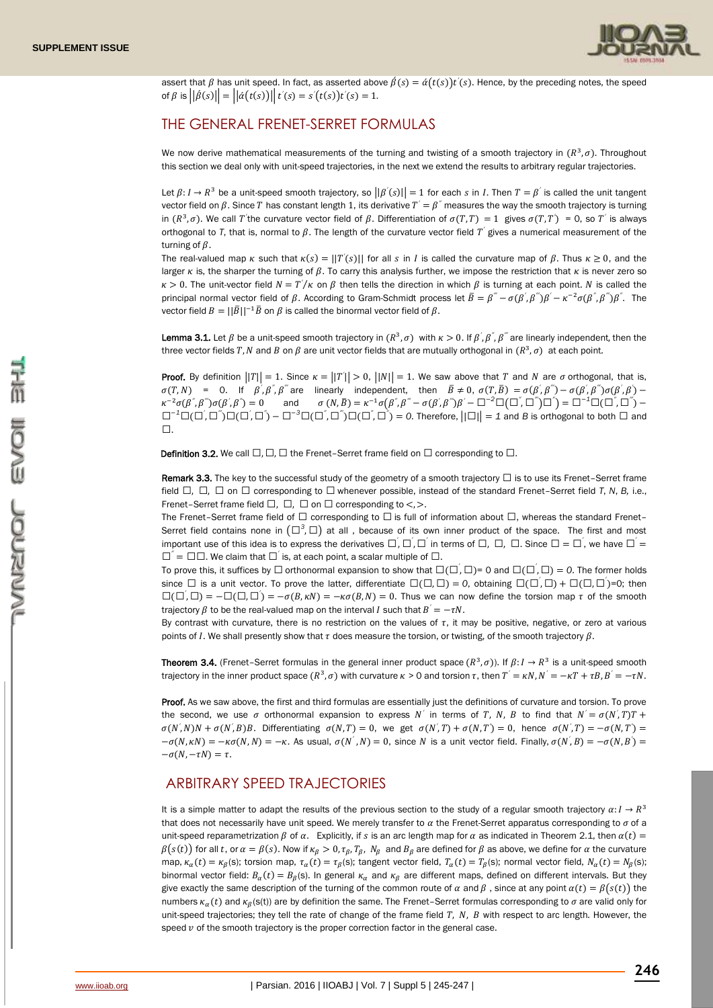

assert that  $\beta$  has unit speed. In fact, as asserted above  $\hat{\beta}(s) = \hat{\alpha}(t(s))t'(s)$ . Hence, by the preceding notes, the speed *′* of  $\beta$  is  $||\hat{\beta}(s)|| = ||\hat{\alpha}(t(s))|| \hat{\beta}(s) = s'(t(s))t'(s) = 1.$ *′ ′ ′*

## THE GENERAL FRENET-SERRET FORMULAS

We now derive mathematical measurements of the turning and twisting of a smooth trajectory in  $(R^3, \sigma)$ . Throughout this section we deal only with unit-speed trajectories, in the next we extend the results to arbitrary regular trajectories.

Let  $\beta: I \to R^3$  be a unit-speed smooth trajectory, so  $||\beta'(s)|| = 1$  for each s in I. Then  $T = \beta'$  is called the unit tangent *′ ′* vector field on  $\beta$ . Since  $T$  has constant length 1, its derivative  $T^{'}=\beta^{''}$  measures the way the smooth trajectory is turning in  $(R^3, \sigma)$ . We call T'the curvature vector field of  $\beta$ . Differentiation of  $\sigma(T, T) = 1$  gives  $\sigma(T, T') = 0$ , so T' is always *′ ′ ′* orthogonal to T, that is, normal to  $\beta$ . The length of the curvature vector field T' gives a numerical measurement of the *′* turning of  $\beta$ .

The real-valued map  $\kappa$  such that  $\kappa(s) = ||T'(s)||$  for all s in I is called the curvature map of  $\beta$ . Thus  $\kappa \ge 0$ , and the *′* larger  $\kappa$  is, the sharper the turning of  $\beta$ . To carry this analysis further, we impose the restriction that  $\kappa$  is never zero so  $\kappa > 0$ . The unit-vector field  $N = T'/\kappa$  on  $\beta$  then tells the direction in which  $\beta$  is turning at each point. N is called the principal normal vector field of  $\beta$ . According to Gram-Schmidt process let  $\bar{B} = \beta'' - \sigma(\beta', \beta'')\beta' - \kappa^{-2}\sigma(\beta', \beta'')\beta'$ . The *′* vector field  $B = ||\bar{B}||^{-1}\bar{B}$  on  $\beta$  is called the binormal vector field of  $\beta$ .

**Lemma 3.1.** Let  $\beta$  be a unit-speed smooth trajectory in  $(R^3, \sigma)$  with  $\kappa > 0$ . If  $\beta', \beta'', \beta'''$  are linearly independent, then the *′* three vector fields T, N and B on  $\beta$  are unit vector fields that are mutually orthogonal in  $(R^3,\sigma)$  at each point.

**Proof.** By definition  $||T|| = 1$ . Since  $\kappa = ||T'|| > 0$ ,  $||N|| = 1$ . We saw above that T and N are  $\sigma$  orthogonal, that is, *′*  $\sigma(T, N)$  = 0. If  $\beta', \beta'', \beta'''$  are linearly independent, then  $\bar{B} \neq 0$ ,  $\sigma(T, \bar{B}) = \sigma(\beta', \beta'') - \sigma(\beta', \beta'') - \sigma(\beta', \beta') - \sigma(\beta', \beta'') - \sigma(\beta', \beta'')$ *′ ′ ′ ′ κ*<sup>-2</sup>σ(β<sup>"</sup>,β<sup>"'</sup>)σ(β<sup>'</sup>,β *′*  $j''$  = 0 and  $\sigma(N,\bar{B}) = \kappa^{-1}\sigma(\beta',\beta''' - \sigma(\beta',\beta'')\beta' - \Box^{-2}\Box(\Box',\Box'')\Box'') = \Box^{-1}\Box(\Box',\Box'') - \Delta$ *′*  $\Box^{-1}\Box(\Box', \Box'')\Box(\Box', \Box') - \Box^{-3}\Box(\Box', \Box'')\Box(\Box', \Box') = 0$ . Therefore,  $||\Box|| = 1$  and *B* is orthogonal to both  $\Box$  and *′ ′*  $\Box$ .

**Definition 3.2.** We call  $\Box$ ,  $\Box$ ,  $\Box$  the Frenet–Serret frame field on  $\Box$  corresponding to  $\Box$ .

Remark 3.3. The key to the successful study of the geometry of a smooth trajectory  $\Box$  is to use its Frenet-Serret frame field  $\Box$ ,  $\Box$ ,  $\Box$  on  $\Box$  corresponding to  $\Box$  whenever possible, instead of the standard Frenet–Serret field *T*, *N*, *B*, i.e., Frenet–Serret frame field  $\Box$ ,  $\Box$ ,  $\Box$  on  $\Box$  corresponding to  $\lt$ ,  $\gt$ .

The Frenet–Serret frame field of  $\Box$  corresponding to  $\Box$  is full of information about  $\Box$ , whereas the standard Frenet– Serret field contains none in  $(\Box^3, \Box)$  at all , because of its own inner product of the space. The first and most important use of this idea is to express the derivatives  $\Box, \Box, \Box$  in terms of  $\Box, \Box, \Box$ . Since  $\Box = \Box$ , we have  $\Box^{'} =$ *′ ′ ′ ′*  $\Box^{''} = \Box \Box$ . We claim that  $\Box^{'}$  is, at each point, a scalar multiple of  $\Box$ . *′*

To prove this, it suffices by  $\Box$  orthonormal expansion to show that  $\Box(\Box, \Box)$  = 0 and  $\Box(\Box, \Box)$  = 0. The former holds *′ ′* since  $\Box$  is a unit vector. To prove the latter, differentiate  $\Box(\Box,\Box) = 0$ , obtaining  $\Box(\Box,\Box) + \Box(\Box,\Box)$ =0; then *′*  $\square(\square,\square) = -\square(\square,\square) = -\sigma(B,\kappa N) = -\kappa \sigma(B,N) = 0$ . Thus we can now define the torsion map  $\tau$  of the smooth *′ ′* trajectory  $\beta$  to be the real-valued map on the interval *I* such that  $B' = -\tau N$ .

By contrast with curvature, there is no restriction on the values of  $\tau$ , it may be positive, negative, or zero at various points of I. We shall presently show that  $\tau$  does measure the torsion, or twisting, of the smooth trajectory  $\beta$ .

**Theorem 3.4.** (Frenet–Serret formulas in the general inner product space  $(R^3, \sigma)$ ). If  $\beta: I \to R^3$  is a unit-speed smooth trajectory in the inner product space  $(R^3, \sigma)$  with curvature  $\kappa > 0$  and torsion  $\tau$ , then  $T' = \kappa N$ ,  $N' = -\kappa T + \tau B$ ,  $B' = -\tau N$ .

Proof. As we saw above, the first and third formulas are essentially just the definitions of curvature and torsion. To prove the second, we use  $\sigma$  orthonormal expansion to express N' in terms of T, N, B to find that  $N' = \sigma(N',T)T +$ *′*  $\sigma(N',N)N + \sigma(N',B)B$ . Differentiating  $\sigma(N,T) = 0$ , we get  $\sigma(N',T) + \sigma(N,T') = 0$ , hence  $\sigma(N',T) = -\sigma(N,T') = 0$ *′ ′ ′ ′ ′*  $-\sigma(N, \kappa N) = -\kappa \sigma(N, N) = -\kappa$ . As usual,  $\sigma(N', N) = 0$ , since N is a unit vector field. Finally,  $\sigma(N', B) = -\sigma(N, B') = -\sigma(N, B')$ *′*  $-\sigma(N, -\tau N) = \tau.$ 

### ARBITRARY SPEED TRAJECTORIES

It is a simple matter to adapt the results of the previous section to the study of a regular smooth trajectory  $\alpha: I \to R^3$ that does not necessarily have unit speed. We merely transfer to  $\alpha$  the Frenet-Serret apparatus corresponding to  $\sigma$  of a unit-speed reparametrization  $\beta$  of  $\alpha$ . Explicitly, if s is an arc length map for  $\alpha$  as indicated in Theorem 2.1, then  $\alpha(t)$  =  $\beta(s(t))$  for all t, or  $\alpha = \beta(s)$ . Now if  $\kappa_{\beta} > 0$ ,  $\tau_{\beta}$ ,  $T_{\beta}$ ,  $N_{\beta}$  and  $B_{\beta}$  are defined for  $\beta$  as above, we define for  $\alpha$  the curvature map,  $\kappa_\alpha(t) = \kappa_\beta(s)$ ; torsion map,  $\tau_\alpha(t) = \tau_\beta(s)$ ; tangent vector field,  $T_\alpha(t) = T_\beta(s)$ ; normal vector field,  $N_\alpha(t) = N_\beta(s)$ ; binormal vector field:  $B_\alpha(t) = B_\beta(s)$ . In general  $\kappa_\alpha$  and  $\kappa_\beta$  are different maps, defined on different intervals. But they give exactly the same description of the turning of the common route of  $\alpha$  and  $\beta$ , since at any point  $\alpha(t) = \beta(s(t))$  the numbers  $\kappa_\alpha(t)$  and  $\kappa_\beta(s(t))$  are by definition the same. The Frenet-Serret formulas corresponding to  $\sigma$  are valid only for unit-speed trajectories; they tell the rate of change of the frame field T, N, B with respect to arc length. However, the speed  $\nu$  of the smooth trajectory is the proper correction factor in the general case.